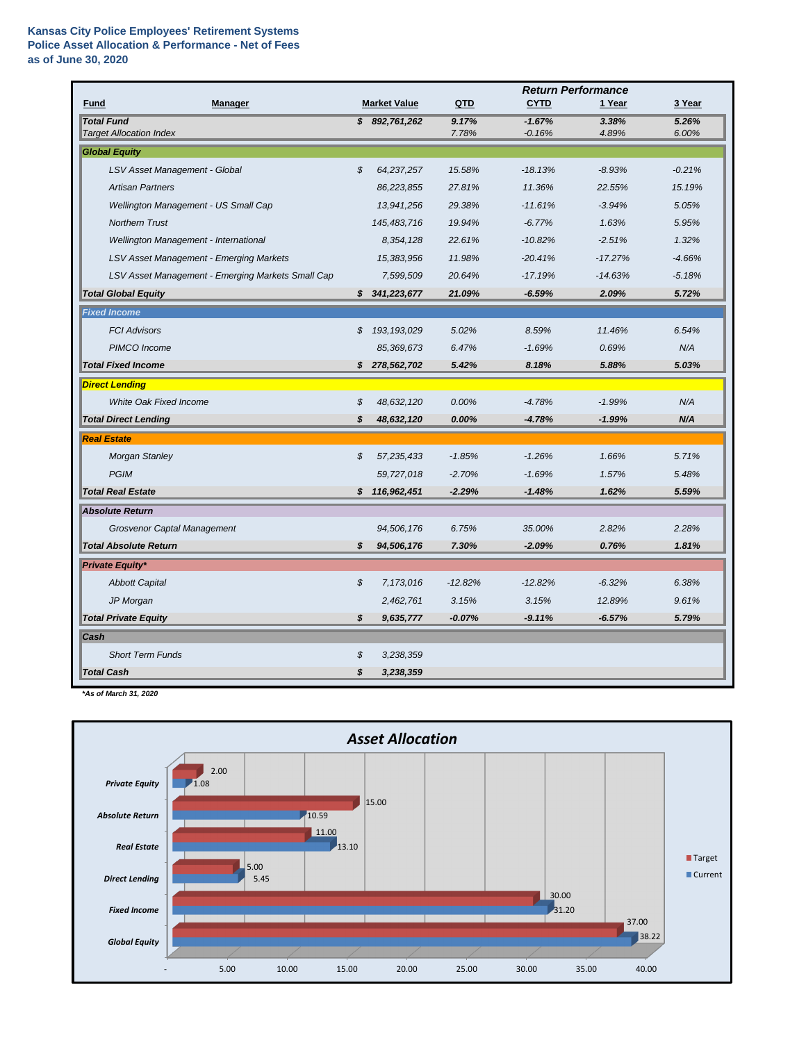|                                                     |    |                     | <b>Return Performance</b> |                      |                |                |
|-----------------------------------------------------|----|---------------------|---------------------------|----------------------|----------------|----------------|
| <b>Fund</b><br><b>Manager</b>                       |    | <b>Market Value</b> | QTD                       | <b>CYTD</b>          | 1 Year         | 3 Year         |
| <b>Total Fund</b><br><b>Target Allocation Index</b> |    | \$892,761,262       | 9.17%<br>7.78%            | $-1.67%$<br>$-0.16%$ | 3.38%<br>4.89% | 5.26%<br>6.00% |
| <b>Global Equity</b>                                |    |                     |                           |                      |                |                |
| LSV Asset Management - Global                       | \$ | 64,237,257          | 15.58%                    | $-18.13%$            | $-8.93%$       | $-0.21%$       |
| <b>Artisan Partners</b>                             |    | 86,223,855          | 27.81%                    | 11.36%               | 22.55%         | 15.19%         |
| Wellington Management - US Small Cap                |    | 13,941,256          | 29.38%                    | $-11.61%$            | $-3.94%$       | 5.05%          |
| <b>Northern Trust</b>                               |    | 145,483,716         | 19.94%                    | $-6.77%$             | 1.63%          | 5.95%          |
| Wellington Management - International               |    | 8,354,128           | 22.61%                    | $-10.82%$            | $-2.51%$       | 1.32%          |
| LSV Asset Management - Emerging Markets             |    | 15,383,956          | 11.98%                    | $-20.41%$            | $-17.27%$      | $-4.66%$       |
| LSV Asset Management - Emerging Markets Small Cap   |    | 7,599,509           | 20.64%                    | $-17.19%$            | $-14.63%$      | $-5.18%$       |
| <b>Total Global Equity</b>                          | S  | 341,223,677         | 21.09%                    | $-6.59%$             | 2.09%          | 5.72%          |
| <b>Fixed Income</b>                                 |    |                     |                           |                      |                |                |
| <b>FCI Advisors</b>                                 | \$ | 193, 193, 029       | 5.02%                     | 8.59%                | 11.46%         | 6.54%          |
| PIMCO Income                                        |    | 85,369,673          | 6.47%                     | $-1.69%$             | 0.69%          | N/A            |
| <b>Total Fixed Income</b>                           | S  | 278,562,702         | 5.42%                     | 8.18%                | 5.88%          | 5.03%          |
| <b>Direct Lending</b>                               |    |                     |                           |                      |                |                |
| White Oak Fixed Income                              | \$ | 48,632,120          | 0.00%                     | $-4.78%$             | $-1.99%$       | N/A            |
| <b>Total Direct Lending</b>                         | \$ | 48,632,120          | 0.00%                     | $-4.78%$             | $-1.99%$       | N/A            |
| <b>Real Estate</b>                                  |    |                     |                           |                      |                |                |
| <b>Morgan Stanley</b>                               | \$ | 57,235,433          | $-1.85%$                  | $-1.26%$             | 1.66%          | 5.71%          |
| <b>PGIM</b>                                         |    | 59,727,018          | $-2.70%$                  | $-1.69%$             | 1.57%          | 5.48%          |
| <b>Total Real Estate</b>                            |    | \$116,962,451       | $-2.29%$                  | $-1.48%$             | 1.62%          | 5.59%          |
| <b>Absolute Return</b>                              |    |                     |                           |                      |                |                |
| <b>Grosvenor Captal Management</b>                  |    | 94,506,176          | 6.75%                     | 35.00%               | 2.82%          | 2.28%          |
| <b>Total Absolute Return</b>                        | \$ | 94,506,176          | 7.30%                     | $-2.09%$             | 0.76%          | 1.81%          |
| <b>Private Equity*</b>                              |    |                     |                           |                      |                |                |
| <b>Abbott Capital</b>                               | \$ | 7,173,016           | $-12.82%$                 | $-12.82%$            | $-6.32%$       | 6.38%          |
| JP Morgan                                           |    | 2,462,761           | 3.15%                     | 3.15%                | 12.89%         | 9.61%          |
| <b>Total Private Equity</b>                         | \$ | 9,635,777           | $-0.07%$                  | $-9.11%$             | $-6.57%$       | 5.79%          |
| Cash                                                |    |                     |                           |                      |                |                |
| <b>Short Term Funds</b>                             | \$ | 3,238,359           |                           |                      |                |                |
| <b>Total Cash</b>                                   | \$ | 3,238,359           |                           |                      |                |                |

*\*As of March 31, 2020*